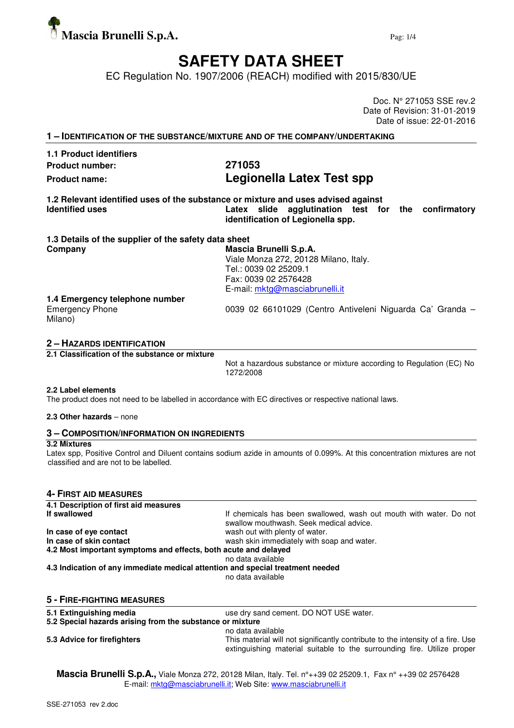

# **SAFETY DATA SHEET**

EC Regulation No. 1907/2006 (REACH) modified with 2015/830/UE

Doc. N° 271053 SSE rev.2 Date of Revision: 31-01-2019 Date of issue: 22-01-2016

| 1 - IDENTIFICATION OF THE SUBSTANCE/MIXTURE AND OF THE COMPANY/UNDERTAKING |                                                                                                                                                                                  |  |  |  |
|----------------------------------------------------------------------------|----------------------------------------------------------------------------------------------------------------------------------------------------------------------------------|--|--|--|
| 1.1 Product identifiers                                                    |                                                                                                                                                                                  |  |  |  |
| <b>Product number:</b>                                                     | 271053                                                                                                                                                                           |  |  |  |
| <b>Product name:</b>                                                       | Legionella Latex Test spp                                                                                                                                                        |  |  |  |
| <b>Identified uses</b>                                                     | 1.2 Relevant identified uses of the substance or mixture and uses advised against<br>Latex slide agglutination test for the<br>confirmatory<br>identification of Legionella spp. |  |  |  |
| 1.3 Details of the supplier of the safety data sheet                       |                                                                                                                                                                                  |  |  |  |
| Company                                                                    | Mascia Brunelli S.p.A.<br>Viale Monza 272, 20128 Milano, Italy.<br>Tel.: 0039 02 25209.1<br>Fax: 0039 02 2576428<br>E-mail: mktg@masciabrunelli.it                               |  |  |  |
| 1.4 Emergency telephone number<br><b>Emergency Phone</b><br>Milano)        | 0039 02 66101029 (Centro Antiveleni Niguarda Ca' Granda -                                                                                                                        |  |  |  |

# **2 – HAZARDS IDENTIFICATION**

**2.1 Classification of the substance or mixture** 

Not a hazardous substance or mixture according to Regulation (EC) No 1272/2008

#### **2.2 Label elements**

The product does not need to be labelled in accordance with EC directives or respective national laws.

### **2.3 Other hazards** – none

# **3 – COMPOSITION/INFORMATION ON INGREDIENTS**

#### **3.2 Mixtures**

Latex spp, Positive Control and Diluent contains sodium azide in amounts of 0.099%. At this concentration mixtures are not classified and are not to be labelled.

# **4- FIRST AID MEASURES**

| 4.1 Description of first aid measures                                          |                                                                                                                                                            |
|--------------------------------------------------------------------------------|------------------------------------------------------------------------------------------------------------------------------------------------------------|
| If swallowed                                                                   | If chemicals has been swallowed, wash out mouth with water. Do not<br>swallow mouthwash. Seek medical advice.                                              |
| In case of eye contact                                                         | wash out with plenty of water.                                                                                                                             |
| In case of skin contact                                                        | wash skin immediately with soap and water.                                                                                                                 |
| 4.2 Most important symptoms and effects, both acute and delayed                |                                                                                                                                                            |
|                                                                                | no data available                                                                                                                                          |
| 4.3 Indication of any immediate medical attention and special treatment needed |                                                                                                                                                            |
|                                                                                | no data available                                                                                                                                          |
| <b>5 - FIRE-FIGHTING MEASURES</b>                                              |                                                                                                                                                            |
| 5.1 Extinguishing media                                                        | use dry sand cement. DO NOT USE water.                                                                                                                     |
| 5.2 Special hazards arising from the substance or mixture                      |                                                                                                                                                            |
|                                                                                | no data available                                                                                                                                          |
| 5.3 Advice for firefighters                                                    | This material will not significantly contribute to the intensity of a fire. Use<br>extinguishing material suitable to the surrounding fire. Utilize proper |

**Mascia Brunelli S.p.A.,** Viale Monza 272, 20128 Milan, Italy. Tel. n°++39 02 25209.1, Fax n° ++39 02 2576428 E-mail: mktg@masciabrunelli.it; Web Site: www.masciabrunelli.it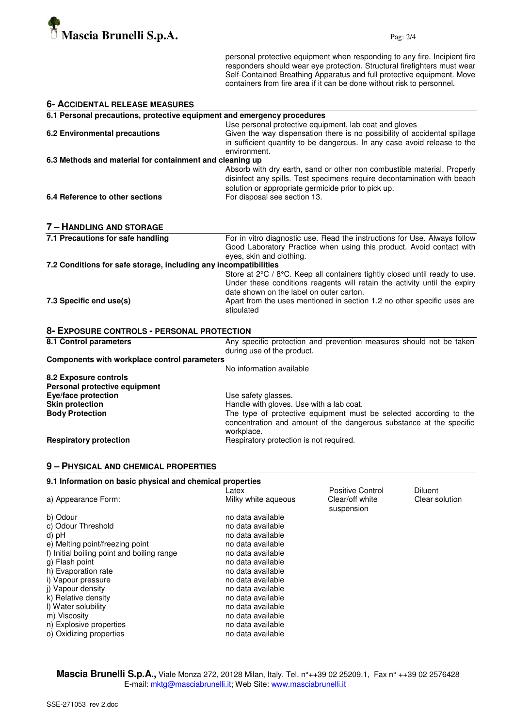

**6- ACCIDENTAL RELEASE MEASURES**

personal protective equipment when responding to any fire. Incipient fire responders should wear eye protection. Structural firefighters must wear Self-Contained Breathing Apparatus and full protective equipment. Move containers from fire area if it can be done without risk to personnel.

| U- ACCIDENTAL NELEASE MEASUNES                                          |                                                                            |
|-------------------------------------------------------------------------|----------------------------------------------------------------------------|
| 6.1 Personal precautions, protective equipment and emergency procedures |                                                                            |
|                                                                         | Use personal protective equipment, lab coat and gloves                     |
| <b>6.2 Environmental precautions</b>                                    | Given the way dispensation there is no possibility of accidental spillage  |
|                                                                         | in sufficient quantity to be dangerous. In any case avoid release to the   |
|                                                                         | environment.                                                               |
| 6.3 Methods and material for containment and cleaning up                |                                                                            |
|                                                                         | Absorb with dry earth, sand or other non combustible material. Properly    |
|                                                                         | disinfect any spills. Test specimens require decontamination with beach    |
|                                                                         | solution or appropriate germicide prior to pick up.                        |
| 6.4 Reference to other sections                                         | For disposal see section 13.                                               |
|                                                                         |                                                                            |
| 7 - HANDLING AND STORAGE                                                |                                                                            |
| 7.1 Precautions for safe handling                                       | For in vitro diagnostic use. Read the instructions for Use. Always follow  |
|                                                                         | Good Laboratory Practice when using this product. Avoid contact with       |
|                                                                         | eyes, skin and clothing.                                                   |
| 7.2 Conditions for safe storage, including any incompatibilities        |                                                                            |
|                                                                         | Store at 2°C / 8°C. Keep all containers tightly closed until ready to use. |
|                                                                         | Under these conditions reagents will retain the activity until the expiry  |
|                                                                         | date shown on the label on outer carton.                                   |
| 7.3 Specific end use(s)                                                 | Apart from the uses mentioned in section 1.2 no other specific uses are    |
|                                                                         | stipulated                                                                 |
| 8- EXPOSURE CONTROLS - PERSONAL PROTECTION                              |                                                                            |
| 8.1 Control parameters                                                  | Any specific protection and prevention measures should not be taken        |
|                                                                         | during use of the product.                                                 |
| Components with workplace control parameters                            |                                                                            |
|                                                                         | No information available                                                   |
| 8.2 Exposure controls                                                   |                                                                            |
| Personal protective equipment                                           |                                                                            |
| Eye/face protection                                                     | Use safety glasses.                                                        |
| <b>Skin protection</b>                                                  | Handle with gloves. Use with a lab coat.                                   |
| <b>Body Protection</b>                                                  | The type of protective equipment must be selected according to the         |
|                                                                         | concentration and amount of the dangerous substance at the specific        |
|                                                                         | workplace.                                                                 |
|                                                                         |                                                                            |

**9 – PHYSICAL AND CHEMICAL PROPERTIES**

#### **9.1 Information on basic physical and chemical properties**  Latex **Diluent** Positive Control Diluent<br>
Milky white aqueous Clear/off white Clear so a) Appearance Form: Milky white aqueous Clear/off white Clear solution suspension<br>b) Odour suspension<br>h) Odour suspension no data available<br>no data available c) Odour Threshold<br>d) pH no data available<br>no data available e) Melting point/freezing point no data available<br>f) Initial boiling point and boiling range no data available f) Initial boiling point and boiling range<br>g) Flash point no data available h) Evaporation rate no data available i) Vapour pressure no data available j) Vapour density<br>
k) Relative density<br>
ho data available  $k$ ) Relative density<br>  $n$ ) Water solubility l) Water solubility no data available m) Viscosity no data available m available m and the model of the model of  $\overline{m}$  no data available no data available<br>no data available n) Explosive properties no data available<br>
no data available<br>
o) Oxidizing properties o) Oxidizing properties

**Respiratory protection Respiratory protection is not required.** 

**Mascia Brunelli S.p.A.,** Viale Monza 272, 20128 Milan, Italy. Tel. n°++39 02 25209.1, Fax n° ++39 02 2576428 E-mail: mktg@masciabrunelli.it; Web Site: www.masciabrunelli.it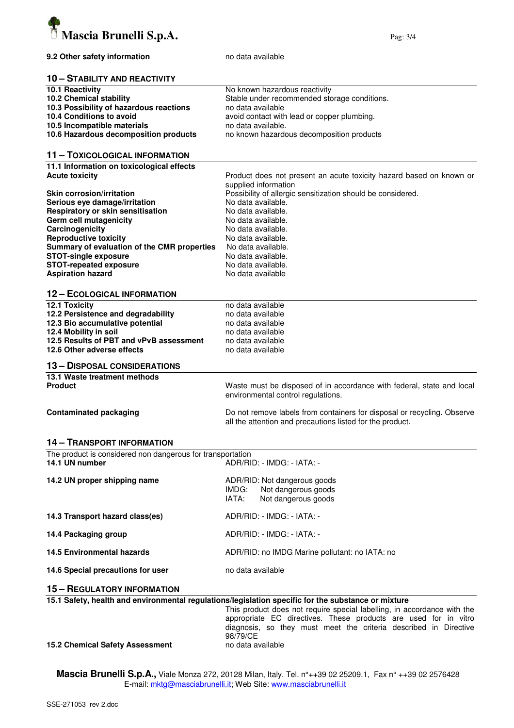

#### **10 – STABILITY AND REACTIVITY**

| 10.1 Reactivity                         | No known hazardous reactivity                |
|-----------------------------------------|----------------------------------------------|
| 10.2 Chemical stability                 | Stable under recommended storage conditions. |
| 10.3 Possibility of hazardous reactions | no data available                            |
| 10.4 Conditions to avoid                | avoid contact with lead or copper plumbing.  |
| 10.5 Incompatible materials             | no data available.                           |
| 10.6 Hazardous decomposition products   | no known hazardous decomposition products    |

# **11 – TOXICOLOGICAL INFORMATION**

**11.1 Information on toxicological effects** 

| <b>Acute toxicity</b>                       | Product does not present an acute toxicity hazard based on known or<br>supplied information |
|---------------------------------------------|---------------------------------------------------------------------------------------------|
| <b>Skin corrosion/irritation</b>            | Possibility of allergic sensitization should be considered.                                 |
| Serious eye damage/irritation               | No data available.                                                                          |
| Respiratory or skin sensitisation           | No data available.                                                                          |
| Germ cell mutagenicity                      | No data available.                                                                          |
| Carcinogenicity                             | No data available.                                                                          |
| <b>Reproductive toxicity</b>                | No data available.                                                                          |
| Summary of evaluation of the CMR properties | No data available.                                                                          |
| <b>STOT-single exposure</b>                 | No data available.                                                                          |
| <b>STOT-repeated exposure</b>               | No data available.                                                                          |
| <b>Aspiration hazard</b>                    | No data available                                                                           |

#### **12 – ECOLOGICAL INFORMATION**

| 12.1 Toxicity                           | no data available                                                                                           |
|-----------------------------------------|-------------------------------------------------------------------------------------------------------------|
| 12.2 Persistence and degradability      | no data available                                                                                           |
| 12.3 Bio accumulative potential         | no data available                                                                                           |
| 12.4 Mobility in soil                   | no data available                                                                                           |
| 12.5 Results of PBT and vPvB assessment | no data available                                                                                           |
| 12.6 Other adverse effects              | no data available                                                                                           |
| <b>13 - DISPOSAL CONSIDERATIONS</b>     |                                                                                                             |
| 13.1 Waste treatment methods            |                                                                                                             |
| <b>Product</b>                          | Waste must be disposed of in accordance with federal, state and local<br>environmental control regulations. |

**Contaminated packaging The Contaminated packaging Containers is a Contaminated packaging Contaminated packaging** 

all the attention and precautions listed for the product.

# **14 – TRANSPORT INFORMATION**

The product is considered non dangerous for transportation<br>14.1 UN number ADR/RI **14.1 UN number** ADR/RID: - IMDG: - IATA: -

| 14.2 UN proper shipping name      | ADR/RID: Not dangerous goods<br>Not dangerous goods<br>IMDG:<br>Not dangerous goods<br>IATA: |  |  |
|-----------------------------------|----------------------------------------------------------------------------------------------|--|--|
| 14.3 Transport hazard class(es)   | ADR/RID: - IMDG: - IATA: -                                                                   |  |  |
| 14.4 Packaging group              | ADR/RID: - IMDG: - IATA: -                                                                   |  |  |
| <b>14.5 Environmental hazards</b> | ADR/RID: no IMDG Marine pollutant: no IATA: no                                               |  |  |
| 14.6 Special precautions for user | no data available                                                                            |  |  |

# **15 – REGULATORY INFORMATION**

| 15.1 Safety, health and environmental regulations/legislation specific for the substance or mixture |  |  |  |  |
|-----------------------------------------------------------------------------------------------------|--|--|--|--|
|-----------------------------------------------------------------------------------------------------|--|--|--|--|

This product does not require special labelling, in accordance with the appropriate EC directives. These products are used for in vitro diagnosis, so they must meet the criteria described in Directive 98/79/CE

#### **15.2 Chemical Safety Assessment no data available**

**Mascia Brunelli S.p.A.,** Viale Monza 272, 20128 Milan, Italy. Tel. n°++39 02 25209.1, Fax n° ++39 02 2576428 E-mail: mktg@masciabrunelli.it; Web Site: www.masciabrunelli.it